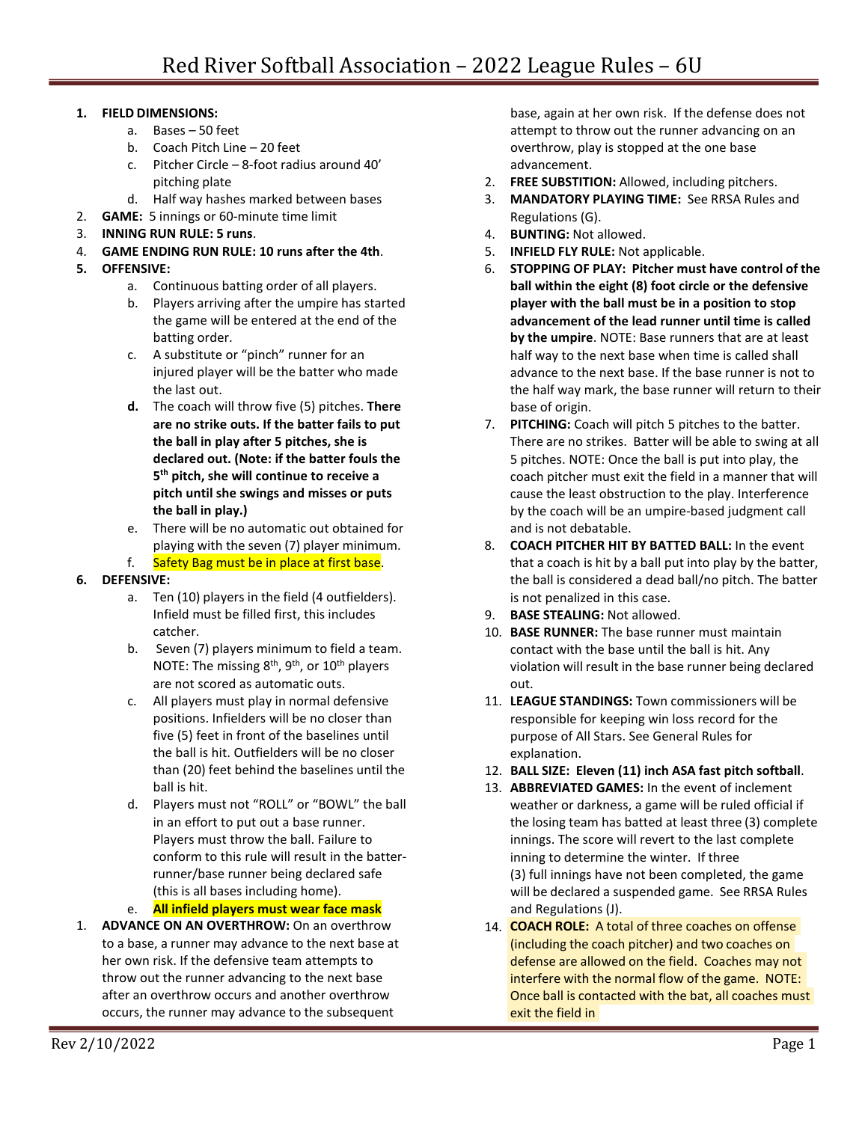## **1. FIELD DIMENSIONS:**

- a. Bases 50 feet
- b. Coach Pitch Line 20 feet
- c. Pitcher Circle 8-foot radius around 40' pitching plate
- d. Half way hashes marked between bases
- 2. **GAME:** 5 innings or 60-minute time limit
- 3. **INNING RUN RULE: 5 runs**.
- 4. **GAME ENDING RUN RULE: 10 runs after the 4th**.
- **5. OFFENSIVE:**
	- a. Continuous batting order of all players.
	- b. Players arriving after the umpire has started the game will be entered at the end of the batting order.
	- c. A substitute or "pinch" runner for an injured player will be the batter who made the last out.
	- **d.** The coach will throw five (5) pitches. **There are no strike outs. If the batter fails to put the ball in play after 5 pitches, she is declared out. (Note: if the batter fouls the 5th pitch, she will continue to receive a pitch until she swings and misses or puts the ball in play.)**
	- e. There will be no automatic out obtained for playing with the seven (7) player minimum.

f. Safety Bag must be in place at first base.

## **6. DEFENSIVE:**

- a. Ten (10) players in the field (4 outfielders). Infield must be filled first, this includes catcher.
- b. Seven (7) players minimum to field a team. NOTE: The missing  $8<sup>th</sup>$ ,  $9<sup>th</sup>$ , or  $10<sup>th</sup>$  players are not scored as automatic outs.
- c. All players must play in normal defensive positions. Infielders will be no closer than five (5) feet in front of the baselines until the ball is hit. Outfielders will be no closer than (20) feet behind the baselines until the ball is hit.
- d. Players must not "ROLL" or "BOWL" the ball in an effort to put out a base runner. Players must throw the ball. Failure to conform to this rule will result in the batterrunner/base runner being declared safe (this is all bases including home).
- e. **All infield players must wear face mask**
- 1. **ADVANCE ON AN OVERTHROW:** On an overthrow to a base, a runner may advance to the next base at her own risk. If the defensive team attempts to throw out the runner advancing to the next base after an overthrow occurs and another overthrow occurs, the runner may advance to the subsequent

base, again at her own risk. If the defense does not attempt to throw out the runner advancing on an overthrow, play is stopped at the one base advancement.

- 2. **FREE SUBSTITION:** Allowed, including pitchers.
- 3. **MANDATORY PLAYING TIME:** See RRSA Rules and Regulations (G).
- 4. **BUNTING:** Not allowed.
- 5. **INFIELD FLY RULE:** Not applicable.
- 6. **STOPPING OF PLAY: Pitcher must have control of the ball within the eight (8) foot circle or the defensive player with the ball must be in a position to stop advancement of the lead runner until time is called by the umpire**. NOTE: Base runners that are at least half way to the next base when time is called shall advance to the next base. If the base runner is not to the half way mark, the base runner will return to their base of origin.
- 7. **PITCHING:** Coach will pitch 5 pitches to the batter. There are no strikes. Batter will be able to swing at all 5 pitches. NOTE: Once the ball is put into play, the coach pitcher must exit the field in a manner that will cause the least obstruction to the play. Interference by the coach will be an umpire-based judgment call and is not debatable.
- 8. **COACH PITCHER HIT BY BATTED BALL:** In the event that a coach is hit by a ball put into play by the batter, the ball is considered a dead ball/no pitch. The batter is not penalized in this case.
- 9. **BASE STEALING:** Not allowed.
- 10. **BASE RUNNER:** The base runner must maintain contact with the base until the ball is hit. Any violation will result in the base runner being declared out.
- 11. **LEAGUE STANDINGS:** Town commissioners will be responsible for keeping win loss record for the purpose of All Stars. See General Rules for explanation.
- 12. **BALL SIZE: Eleven (11) inch ASA fast pitch softball**.
- 13. **ABBREVIATED GAMES:** In the event of inclement weather or darkness, a game will be ruled official if the losing team has batted at least three (3) complete innings. The score will revert to the last complete inning to determine the winter. If three (3) full innings have not been completed, the game will be declared a suspended game. See RRSA Rules and Regulations (J).
- 14. **COACH ROLE:** A total of three coaches on offenseexit the field in Once ball is contacted with the bat, all coaches must defense are allowed on the field. Coaches may not interfere with the normal flow of the game. NOTE: (including the coach pitcher) and two coaches on